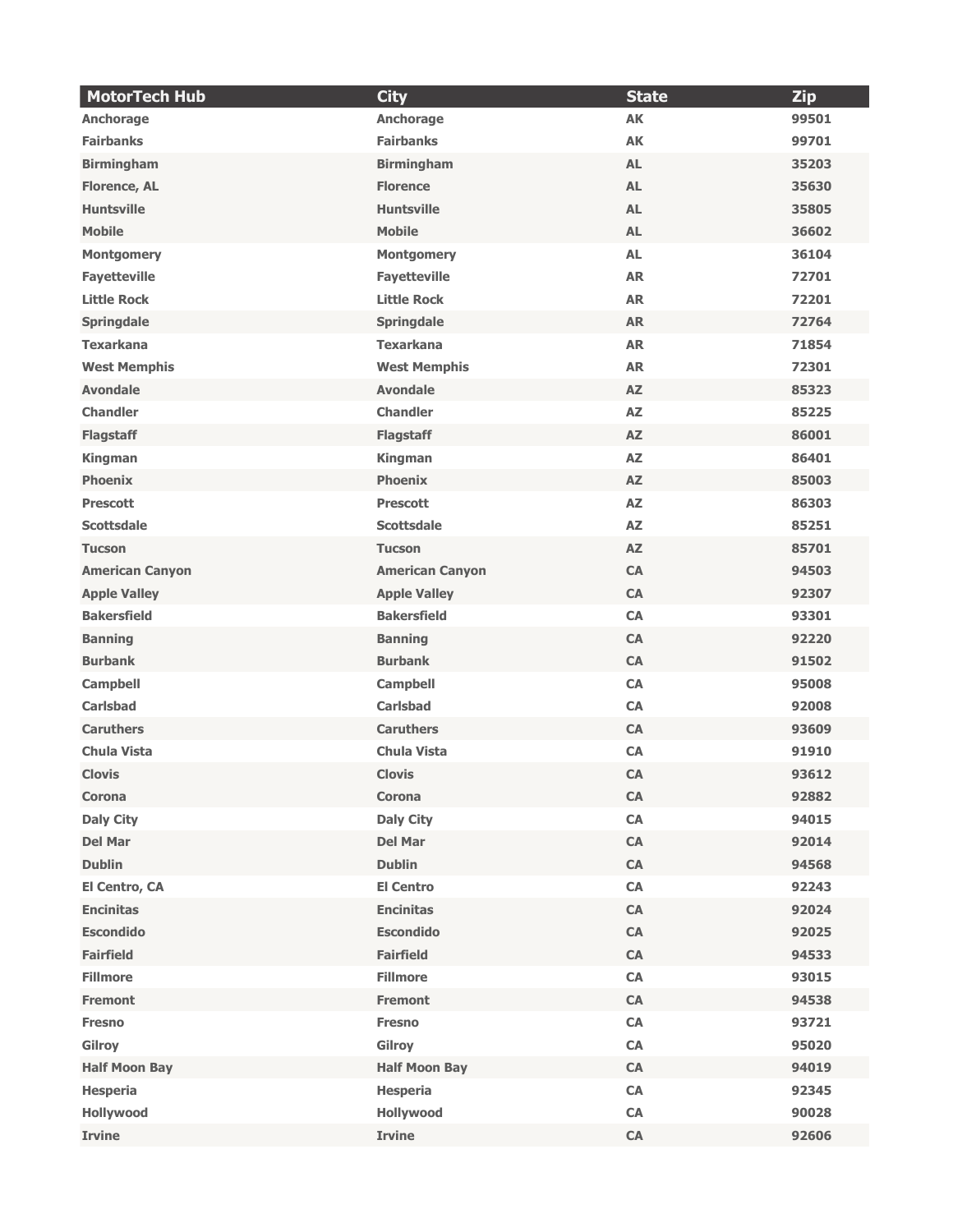| <b>MotorTech Hub</b>   | <b>City</b>            | <b>State</b> | <b>Zip</b> |
|------------------------|------------------------|--------------|------------|
| Anchorage              | Anchorage              | <b>AK</b>    | 99501      |
| <b>Fairbanks</b>       | <b>Fairbanks</b>       | <b>AK</b>    | 99701      |
| <b>Birmingham</b>      | <b>Birmingham</b>      | <b>AL</b>    | 35203      |
| <b>Florence, AL</b>    | <b>Florence</b>        | <b>AL</b>    | 35630      |
| <b>Huntsville</b>      | <b>Huntsville</b>      | <b>AL</b>    | 35805      |
| <b>Mobile</b>          | <b>Mobile</b>          | <b>AL</b>    | 36602      |
| <b>Montgomery</b>      | <b>Montgomery</b>      | <b>AL</b>    | 36104      |
| <b>Fayetteville</b>    | <b>Fayetteville</b>    | <b>AR</b>    | 72701      |
| <b>Little Rock</b>     | <b>Little Rock</b>     | <b>AR</b>    | 72201      |
| <b>Springdale</b>      | <b>Springdale</b>      | <b>AR</b>    | 72764      |
| <b>Texarkana</b>       | <b>Texarkana</b>       | <b>AR</b>    | 71854      |
| <b>West Memphis</b>    | <b>West Memphis</b>    | <b>AR</b>    | 72301      |
| <b>Avondale</b>        | <b>Avondale</b>        | <b>AZ</b>    | 85323      |
| <b>Chandler</b>        | <b>Chandler</b>        | <b>AZ</b>    | 85225      |
| <b>Flagstaff</b>       | <b>Flagstaff</b>       | AZ           | 86001      |
| Kingman                | <b>Kingman</b>         | <b>AZ</b>    | 86401      |
| <b>Phoenix</b>         | <b>Phoenix</b>         | AZ           | 85003      |
| <b>Prescott</b>        | <b>Prescott</b>        | AZ           | 86303      |
| <b>Scottsdale</b>      | <b>Scottsdale</b>      | <b>AZ</b>    | 85251      |
| <b>Tucson</b>          | <b>Tucson</b>          | AZ           | 85701      |
| <b>American Canyon</b> | <b>American Canyon</b> | <b>CA</b>    | 94503      |
| <b>Apple Valley</b>    | <b>Apple Valley</b>    | <b>CA</b>    | 92307      |
| <b>Bakersfield</b>     | <b>Bakersfield</b>     | <b>CA</b>    | 93301      |
| <b>Banning</b>         | <b>Banning</b>         | <b>CA</b>    | 92220      |
| <b>Burbank</b>         | <b>Burbank</b>         | CA           | 91502      |
| <b>Campbell</b>        | <b>Campbell</b>        | <b>CA</b>    | 95008      |
| <b>Carlsbad</b>        | <b>Carlsbad</b>        | CA           | 92008      |
| <b>Caruthers</b>       | <b>Caruthers</b>       | CA           | 93609      |
| <b>Chula Vista</b>     | <b>Chula Vista</b>     | CA           | 91910      |
| <b>Clovis</b>          | <b>Clovis</b>          | <b>CA</b>    | 93612      |
| Corona                 | Corona                 | CA           | 92882      |
| <b>Daly City</b>       | <b>Daly City</b>       | CA           | 94015      |
| <b>Del Mar</b>         | <b>Del Mar</b>         | ${\sf CA}$   | 92014      |
| <b>Dublin</b>          | <b>Dublin</b>          | CA           | 94568      |
| El Centro, CA          | <b>El Centro</b>       | CA           | 92243      |
| <b>Encinitas</b>       | <b>Encinitas</b>       | CA           | 92024      |
| <b>Escondido</b>       | <b>Escondido</b>       | CA           | 92025      |
| <b>Fairfield</b>       | <b>Fairfield</b>       | CA           | 94533      |
| <b>Fillmore</b>        | <b>Fillmore</b>        | CA           | 93015      |
| <b>Fremont</b>         | <b>Fremont</b>         | CA           | 94538      |
| <b>Fresno</b>          | <b>Fresno</b>          | CA           | 93721      |
| Gilroy                 | Gilroy                 | CA           | 95020      |
| <b>Half Moon Bay</b>   | <b>Half Moon Bay</b>   | ${\sf CA}$   | 94019      |
| <b>Hesperia</b>        | <b>Hesperia</b>        | CA           | 92345      |
| Hollywood              | Hollywood              | ${\sf CA}$   | 90028      |
| <b>Irvine</b>          | <b>Irvine</b>          | CA           | 92606      |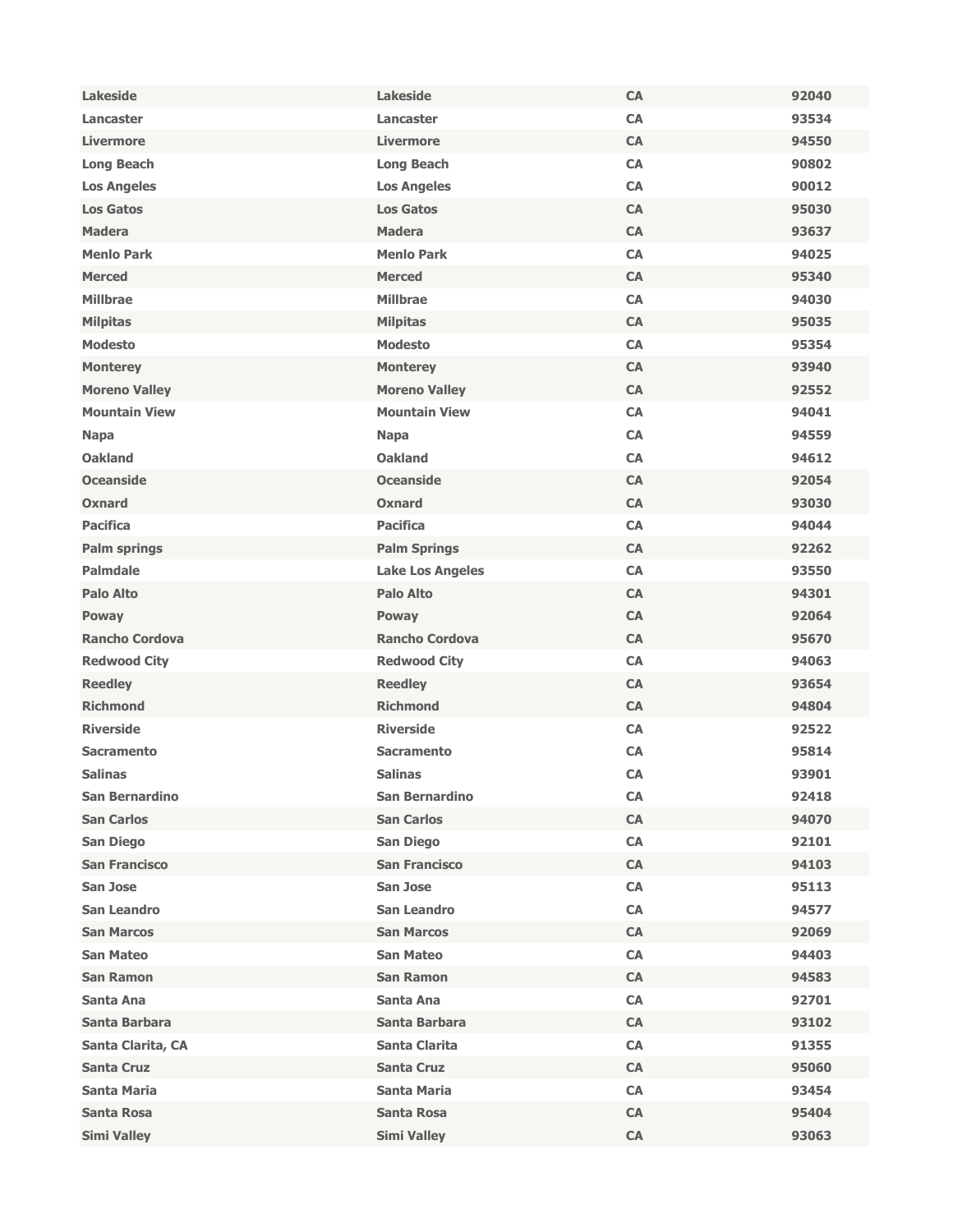| <b>Lakeside</b>       | <b>Lakeside</b>         | <b>CA</b>  | 92040 |
|-----------------------|-------------------------|------------|-------|
| Lancaster             | Lancaster               | <b>CA</b>  | 93534 |
| <b>Livermore</b>      | <b>Livermore</b>        | <b>CA</b>  | 94550 |
| <b>Long Beach</b>     | <b>Long Beach</b>       | <b>CA</b>  | 90802 |
| <b>Los Angeles</b>    | <b>Los Angeles</b>      | <b>CA</b>  | 90012 |
| <b>Los Gatos</b>      | <b>Los Gatos</b>        | CA         | 95030 |
| <b>Madera</b>         | <b>Madera</b>           | <b>CA</b>  | 93637 |
| <b>Menlo Park</b>     | <b>Menlo Park</b>       | <b>CA</b>  | 94025 |
| <b>Merced</b>         | <b>Merced</b>           | CA         | 95340 |
| <b>Millbrae</b>       | <b>Millbrae</b>         | CA         | 94030 |
| <b>Milpitas</b>       | <b>Milpitas</b>         | <b>CA</b>  | 95035 |
| <b>Modesto</b>        | <b>Modesto</b>          | <b>CA</b>  | 95354 |
| <b>Monterey</b>       | <b>Monterey</b>         | <b>CA</b>  | 93940 |
| <b>Moreno Valley</b>  | <b>Moreno Valley</b>    | <b>CA</b>  | 92552 |
| <b>Mountain View</b>  | <b>Mountain View</b>    | <b>CA</b>  | 94041 |
| <b>Napa</b>           | <b>Napa</b>             | <b>CA</b>  | 94559 |
| <b>Oakland</b>        | <b>Oakland</b>          | <b>CA</b>  | 94612 |
| <b>Oceanside</b>      | <b>Oceanside</b>        | CA         | 92054 |
| Oxnard                | Oxnard                  | <b>CA</b>  | 93030 |
| <b>Pacifica</b>       | <b>Pacifica</b>         | CA         | 94044 |
| <b>Palm springs</b>   | <b>Palm Springs</b>     | <b>CA</b>  | 92262 |
| <b>Palmdale</b>       | <b>Lake Los Angeles</b> | <b>CA</b>  | 93550 |
| <b>Palo Alto</b>      | <b>Palo Alto</b>        | <b>CA</b>  | 94301 |
| Poway                 | Poway                   | <b>CA</b>  | 92064 |
| <b>Rancho Cordova</b> | <b>Rancho Cordova</b>   | <b>CA</b>  | 95670 |
| <b>Redwood City</b>   | <b>Redwood City</b>     | CA         | 94063 |
| <b>Reedley</b>        | <b>Reedley</b>          | <b>CA</b>  | 93654 |
| <b>Richmond</b>       | <b>Richmond</b>         | CA         | 94804 |
| <b>Riverside</b>      | <b>Riverside</b>        | <b>CA</b>  | 92522 |
| <b>Sacramento</b>     | <b>Sacramento</b>       | <b>CA</b>  | 95814 |
| <b>Salinas</b>        | <b>Salinas</b>          | <b>CA</b>  | 93901 |
| <b>San Bernardino</b> | <b>San Bernardino</b>   | <b>CA</b>  | 92418 |
| <b>San Carlos</b>     | <b>San Carlos</b>       | <b>CA</b>  | 94070 |
| <b>San Diego</b>      | <b>San Diego</b>        | <b>CA</b>  | 92101 |
| <b>San Francisco</b>  | <b>San Francisco</b>    | CA         | 94103 |
| San Jose              | San Jose                | CA         | 95113 |
| <b>San Leandro</b>    | <b>San Leandro</b>      | CA         | 94577 |
| <b>San Marcos</b>     | <b>San Marcos</b>       | CA         | 92069 |
| <b>San Mateo</b>      | <b>San Mateo</b>        | <b>CA</b>  | 94403 |
| <b>San Ramon</b>      | <b>San Ramon</b>        | CA         | 94583 |
| Santa Ana             | Santa Ana               | CA         | 92701 |
| Santa Barbara         | Santa Barbara           | CA         | 93102 |
| Santa Clarita, CA     | Santa Clarita           | <b>CA</b>  | 91355 |
| <b>Santa Cruz</b>     | <b>Santa Cruz</b>       | CA         | 95060 |
| <b>Santa Maria</b>    | <b>Santa Maria</b>      | CA         | 93454 |
| <b>Santa Rosa</b>     | <b>Santa Rosa</b>       | <b>CA</b>  | 95404 |
| <b>Simi Valley</b>    | <b>Simi Valley</b>      | ${\sf CA}$ | 93063 |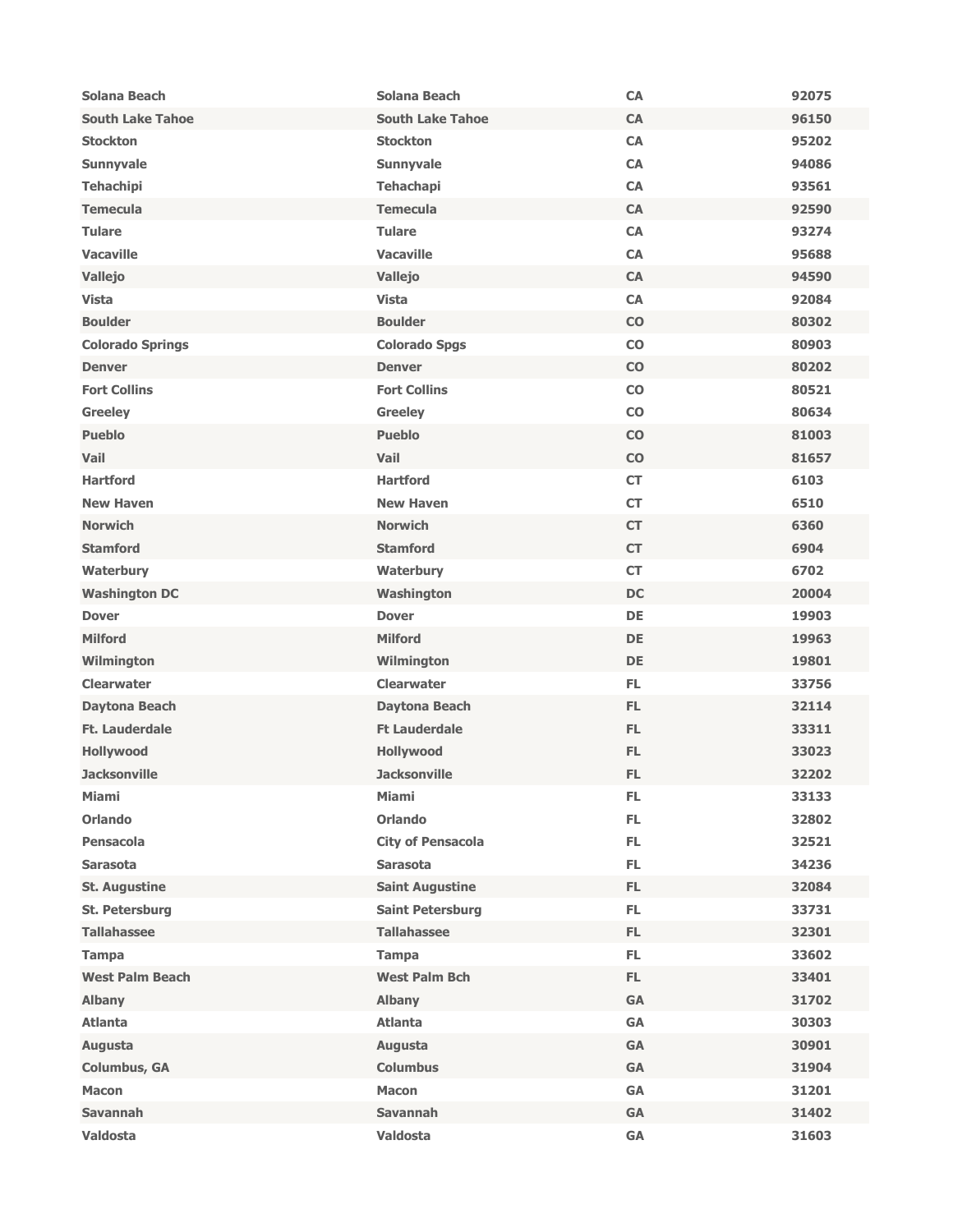| Solana Beach            | Solana Beach                         | <b>CA</b>     | 92075 |
|-------------------------|--------------------------------------|---------------|-------|
| <b>South Lake Tahoe</b> | <b>South Lake Tahoe</b>              | <b>CA</b>     | 96150 |
| <b>Stockton</b>         | <b>Stockton</b>                      | <b>CA</b>     | 95202 |
| Sunnyvale               | <b>Sunnyvale</b>                     | CA            | 94086 |
| <b>Tehachipi</b>        | <b>Tehachapi</b>                     | CA            | 93561 |
| <b>Temecula</b>         | <b>Temecula</b>                      | <b>CA</b>     | 92590 |
| <b>Tulare</b>           | <b>Tulare</b>                        | CA            | 93274 |
| <b>Vacaville</b>        | <b>Vacaville</b>                     | <b>CA</b>     | 95688 |
| Vallejo                 | <b>Vallejo</b>                       | CA            | 94590 |
| <b>Vista</b>            | <b>Vista</b>                         | CA            | 92084 |
| <b>Boulder</b>          | <b>Boulder</b>                       | CO            | 80302 |
| <b>Colorado Springs</b> | <b>Colorado Spgs</b>                 | CO            | 80903 |
| <b>Denver</b>           | <b>Denver</b>                        | CO            | 80202 |
| <b>Fort Collins</b>     | <b>Fort Collins</b>                  | $\mathbf{CO}$ | 80521 |
| <b>Greeley</b>          | <b>Greeley</b>                       | $\mathbf{CO}$ | 80634 |
| <b>Pueblo</b>           | <b>Pueblo</b>                        | CO            | 81003 |
| Vail                    | Vail                                 | CO            | 81657 |
| <b>Hartford</b>         | <b>Hartford</b>                      | <b>CT</b>     | 6103  |
| <b>New Haven</b>        | <b>New Haven</b>                     | CT            | 6510  |
| <b>Norwich</b>          | <b>Norwich</b>                       | <b>CT</b>     | 6360  |
| <b>Stamford</b>         | <b>Stamford</b>                      | <b>CT</b>     | 6904  |
| Waterbury               | Waterbury                            | CT            | 6702  |
| <b>Washington DC</b>    | Washington                           | <b>DC</b>     | 20004 |
| <b>Dover</b>            | <b>Dover</b>                         | DE            | 19903 |
| <b>Milford</b>          | <b>Milford</b>                       | <b>DE</b>     | 19963 |
| Wilmington              | Wilmington                           | <b>DE</b>     | 19801 |
| <b>Clearwater</b>       | <b>Clearwater</b>                    | FL.           | 33756 |
| <b>Daytona Beach</b>    | Daytona Beach                        | FL.           | 32114 |
| Ft. Lauderdale          | <b>Ft Lauderdale</b>                 | FL.           | 33311 |
| Hollywood               | Hollywood                            | FL.           | 33023 |
| <b>Jacksonville</b>     | <b>Jacksonville</b>                  | FL.           | 32202 |
| <b>Miami</b>            | <b>Miami</b>                         | FL.           | 33133 |
| <b>Orlando</b>          | <b>Orlando</b>                       | FL.           | 32802 |
| <b>Pensacola</b>        | <b>City of Pensacola</b>             | FL.           | 32521 |
| <b>Sarasota</b>         | <b>Sarasota</b>                      | FL.           | 34236 |
| <b>St. Augustine</b>    | <b>Saint Augustine</b>               | FL.           | 32084 |
| St. Petersburg          | <b>Saint Petersburg</b>              | FL.           | 33731 |
| <b>Tallahassee</b>      | <b>Tallahassee</b>                   | FL.           | 32301 |
| <b>Tampa</b>            |                                      | FL.           | 33602 |
| <b>West Palm Beach</b>  | <b>Tampa</b><br><b>West Palm Bch</b> | FL.           | 33401 |
|                         |                                      | GA            | 31702 |
| <b>Albany</b>           | <b>Albany</b>                        |               |       |
| <b>Atlanta</b>          | <b>Atlanta</b>                       | GA            | 30303 |
| Augusta                 | Augusta                              | <b>GA</b>     | 30901 |
| <b>Columbus, GA</b>     | <b>Columbus</b>                      | GA            | 31904 |
| <b>Macon</b>            | <b>Macon</b>                         | GA            | 31201 |
| <b>Savannah</b>         | <b>Savannah</b>                      | <b>GA</b>     | 31402 |
| <b>Valdosta</b>         | <b>Valdosta</b>                      | GA            | 31603 |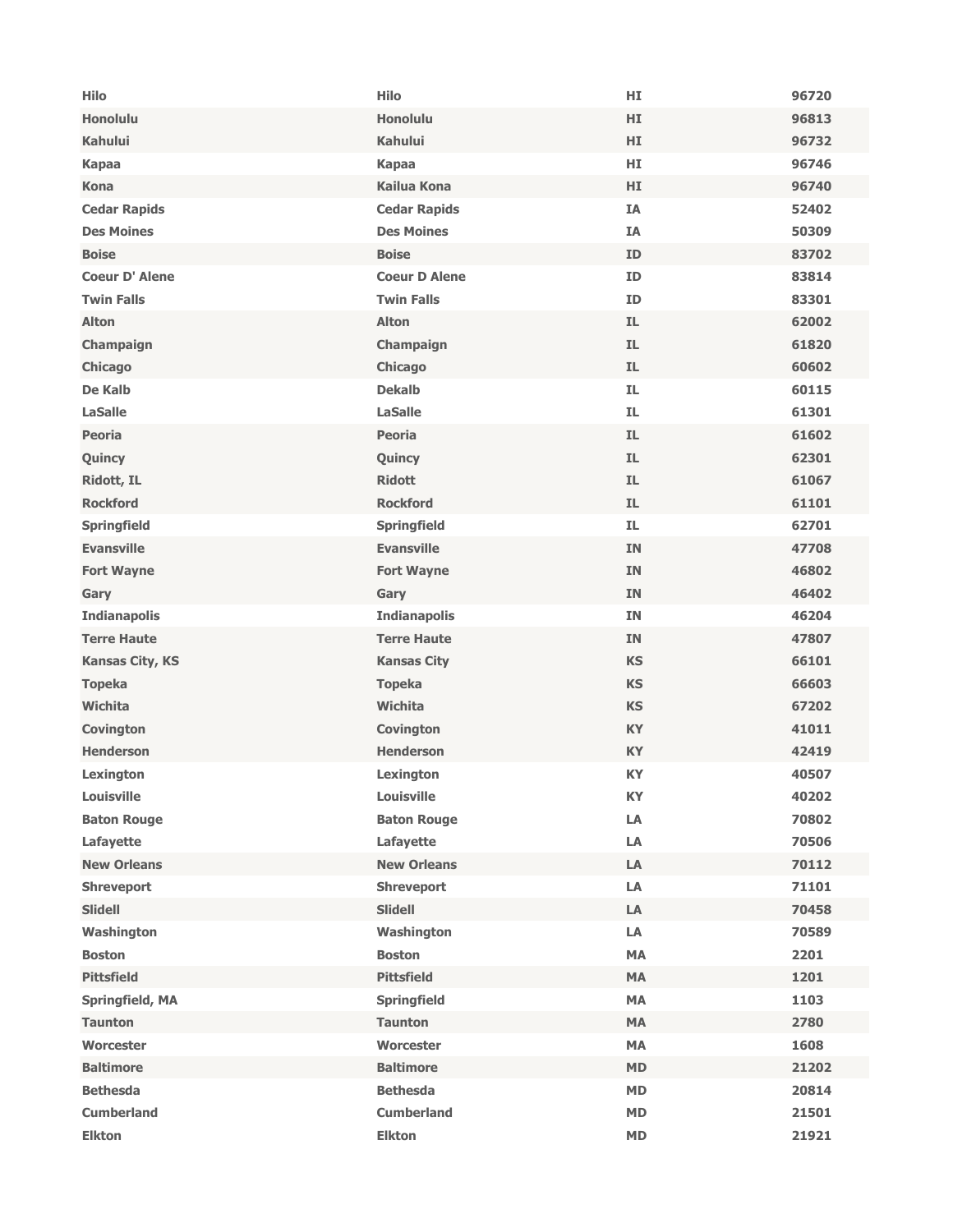| <b>Honolulu</b><br><b>Honolulu</b><br>HI.<br>96813<br><b>Kahului</b><br><b>Kahului</b><br>HI.<br>96732<br>HI.<br>96746<br><b>Kapaa</b><br><b>Kapaa</b><br><b>Kailua Kona</b><br><b>Kona</b><br>HI<br>96740<br><b>Cedar Rapids</b><br><b>Cedar Rapids</b><br><b>IA</b><br>52402<br><b>Des Moines</b><br><b>Des Moines</b><br><b>IA</b><br>50309<br><b>Boise</b><br><b>Boise</b><br><b>ID</b><br>83702<br><b>Coeur D'Alene</b><br><b>Coeur D Alene</b><br><b>ID</b><br>83814<br><b>Twin Falls</b><br><b>Twin Falls</b><br>ID<br>83301<br><b>Alton</b><br><b>Alton</b><br>IL.<br>62002<br>IL.<br>Champaign<br>Champaign<br>61820<br>IL.<br>Chicago<br>60602<br>Chicago<br>De Kalb<br><b>Dekalb</b><br>IL.<br>60115<br>IL.<br><b>LaSalle</b><br><b>LaSalle</b><br>61301<br>IL.<br>61602<br><b>Peoria</b><br><b>Peoria</b><br>IL.<br>Quincy<br>Quincy<br>62301<br>Ridott, IL<br><b>Ridott</b><br>IL.<br>61067<br><b>Rockford</b><br>IL.<br>61101<br><b>Rockford</b><br>IL.<br>62701<br><b>Springfield</b><br><b>Springfield</b><br><b>Evansville</b><br><b>Evansville</b><br>47708<br><b>IN</b><br><b>Fort Wayne</b><br><b>Fort Wayne</b><br><b>IN</b><br>46802<br>46402<br><b>IN</b><br>Gary<br>Gary<br>46204<br><b>Indianapolis</b><br><b>Indianapolis</b><br><b>IN</b><br><b>Terre Haute</b><br>47807<br><b>Terre Haute</b><br><b>IN</b><br><b>KS</b><br>66101<br><b>Kansas City, KS</b><br><b>Kansas City</b><br><b>Topeka</b><br><b>Topeka</b><br><b>KS</b><br>66603<br><b>Wichita</b><br>Wichita<br><b>KS</b><br>67202<br><b>KY</b><br>41011<br><b>Covington</b><br><b>Covington</b><br><b>Henderson</b><br><b>Henderson</b><br><b>KY</b><br>42419<br>Lexington<br>Lexington<br><b>KY</b><br>40507<br><b>Louisville</b><br>Louisville<br>KY<br>40202<br>LA<br>70802<br><b>Baton Rouge</b><br><b>Baton Rouge</b><br>LA<br>Lafayette<br>Lafayette<br>70506<br><b>New Orleans</b><br><b>New Orleans</b><br>${\sf LA}$<br>70112<br>LA<br>71101<br><b>Shreveport</b><br><b>Shreveport</b><br><b>Slidell</b><br><b>Slidell</b><br>LA<br>70458<br>Washington<br>Washington<br>LA<br>70589<br>MA<br><b>Boston</b><br><b>Boston</b><br>2201<br><b>Pittsfield</b><br><b>Pittsfield</b><br>MA<br>1201<br>MA<br>1103<br>Springfield, MA<br><b>Springfield</b><br>MA<br>2780<br><b>Taunton</b><br><b>Taunton</b><br>Worcester<br>1608<br>Worcester<br><b>MA</b><br><b>Baltimore</b><br><b>Baltimore</b><br><b>MD</b><br>21202<br><b>Bethesda</b><br><b>Bethesda</b><br>MD<br>20814<br><b>Cumberland</b><br><b>Cumberland</b><br><b>MD</b><br>21501<br><b>MD</b> | <b>Hilo</b>   | <b>Hilo</b>   | HI | 96720 |
|-----------------------------------------------------------------------------------------------------------------------------------------------------------------------------------------------------------------------------------------------------------------------------------------------------------------------------------------------------------------------------------------------------------------------------------------------------------------------------------------------------------------------------------------------------------------------------------------------------------------------------------------------------------------------------------------------------------------------------------------------------------------------------------------------------------------------------------------------------------------------------------------------------------------------------------------------------------------------------------------------------------------------------------------------------------------------------------------------------------------------------------------------------------------------------------------------------------------------------------------------------------------------------------------------------------------------------------------------------------------------------------------------------------------------------------------------------------------------------------------------------------------------------------------------------------------------------------------------------------------------------------------------------------------------------------------------------------------------------------------------------------------------------------------------------------------------------------------------------------------------------------------------------------------------------------------------------------------------------------------------------------------------------------------------------------------------------------------------------------------------------------------------------------------------------------------------------------------------------------------------------------------------------------------------------------------------------------------------------------------------------------------------------------------------------------------------------------------------------------------------------------------------------------------------------|---------------|---------------|----|-------|
|                                                                                                                                                                                                                                                                                                                                                                                                                                                                                                                                                                                                                                                                                                                                                                                                                                                                                                                                                                                                                                                                                                                                                                                                                                                                                                                                                                                                                                                                                                                                                                                                                                                                                                                                                                                                                                                                                                                                                                                                                                                                                                                                                                                                                                                                                                                                                                                                                                                                                                                                                     |               |               |    |       |
|                                                                                                                                                                                                                                                                                                                                                                                                                                                                                                                                                                                                                                                                                                                                                                                                                                                                                                                                                                                                                                                                                                                                                                                                                                                                                                                                                                                                                                                                                                                                                                                                                                                                                                                                                                                                                                                                                                                                                                                                                                                                                                                                                                                                                                                                                                                                                                                                                                                                                                                                                     |               |               |    |       |
|                                                                                                                                                                                                                                                                                                                                                                                                                                                                                                                                                                                                                                                                                                                                                                                                                                                                                                                                                                                                                                                                                                                                                                                                                                                                                                                                                                                                                                                                                                                                                                                                                                                                                                                                                                                                                                                                                                                                                                                                                                                                                                                                                                                                                                                                                                                                                                                                                                                                                                                                                     |               |               |    |       |
|                                                                                                                                                                                                                                                                                                                                                                                                                                                                                                                                                                                                                                                                                                                                                                                                                                                                                                                                                                                                                                                                                                                                                                                                                                                                                                                                                                                                                                                                                                                                                                                                                                                                                                                                                                                                                                                                                                                                                                                                                                                                                                                                                                                                                                                                                                                                                                                                                                                                                                                                                     |               |               |    |       |
|                                                                                                                                                                                                                                                                                                                                                                                                                                                                                                                                                                                                                                                                                                                                                                                                                                                                                                                                                                                                                                                                                                                                                                                                                                                                                                                                                                                                                                                                                                                                                                                                                                                                                                                                                                                                                                                                                                                                                                                                                                                                                                                                                                                                                                                                                                                                                                                                                                                                                                                                                     |               |               |    |       |
|                                                                                                                                                                                                                                                                                                                                                                                                                                                                                                                                                                                                                                                                                                                                                                                                                                                                                                                                                                                                                                                                                                                                                                                                                                                                                                                                                                                                                                                                                                                                                                                                                                                                                                                                                                                                                                                                                                                                                                                                                                                                                                                                                                                                                                                                                                                                                                                                                                                                                                                                                     |               |               |    |       |
|                                                                                                                                                                                                                                                                                                                                                                                                                                                                                                                                                                                                                                                                                                                                                                                                                                                                                                                                                                                                                                                                                                                                                                                                                                                                                                                                                                                                                                                                                                                                                                                                                                                                                                                                                                                                                                                                                                                                                                                                                                                                                                                                                                                                                                                                                                                                                                                                                                                                                                                                                     |               |               |    |       |
|                                                                                                                                                                                                                                                                                                                                                                                                                                                                                                                                                                                                                                                                                                                                                                                                                                                                                                                                                                                                                                                                                                                                                                                                                                                                                                                                                                                                                                                                                                                                                                                                                                                                                                                                                                                                                                                                                                                                                                                                                                                                                                                                                                                                                                                                                                                                                                                                                                                                                                                                                     |               |               |    |       |
|                                                                                                                                                                                                                                                                                                                                                                                                                                                                                                                                                                                                                                                                                                                                                                                                                                                                                                                                                                                                                                                                                                                                                                                                                                                                                                                                                                                                                                                                                                                                                                                                                                                                                                                                                                                                                                                                                                                                                                                                                                                                                                                                                                                                                                                                                                                                                                                                                                                                                                                                                     |               |               |    |       |
|                                                                                                                                                                                                                                                                                                                                                                                                                                                                                                                                                                                                                                                                                                                                                                                                                                                                                                                                                                                                                                                                                                                                                                                                                                                                                                                                                                                                                                                                                                                                                                                                                                                                                                                                                                                                                                                                                                                                                                                                                                                                                                                                                                                                                                                                                                                                                                                                                                                                                                                                                     |               |               |    |       |
|                                                                                                                                                                                                                                                                                                                                                                                                                                                                                                                                                                                                                                                                                                                                                                                                                                                                                                                                                                                                                                                                                                                                                                                                                                                                                                                                                                                                                                                                                                                                                                                                                                                                                                                                                                                                                                                                                                                                                                                                                                                                                                                                                                                                                                                                                                                                                                                                                                                                                                                                                     |               |               |    |       |
|                                                                                                                                                                                                                                                                                                                                                                                                                                                                                                                                                                                                                                                                                                                                                                                                                                                                                                                                                                                                                                                                                                                                                                                                                                                                                                                                                                                                                                                                                                                                                                                                                                                                                                                                                                                                                                                                                                                                                                                                                                                                                                                                                                                                                                                                                                                                                                                                                                                                                                                                                     |               |               |    |       |
|                                                                                                                                                                                                                                                                                                                                                                                                                                                                                                                                                                                                                                                                                                                                                                                                                                                                                                                                                                                                                                                                                                                                                                                                                                                                                                                                                                                                                                                                                                                                                                                                                                                                                                                                                                                                                                                                                                                                                                                                                                                                                                                                                                                                                                                                                                                                                                                                                                                                                                                                                     |               |               |    |       |
|                                                                                                                                                                                                                                                                                                                                                                                                                                                                                                                                                                                                                                                                                                                                                                                                                                                                                                                                                                                                                                                                                                                                                                                                                                                                                                                                                                                                                                                                                                                                                                                                                                                                                                                                                                                                                                                                                                                                                                                                                                                                                                                                                                                                                                                                                                                                                                                                                                                                                                                                                     |               |               |    |       |
|                                                                                                                                                                                                                                                                                                                                                                                                                                                                                                                                                                                                                                                                                                                                                                                                                                                                                                                                                                                                                                                                                                                                                                                                                                                                                                                                                                                                                                                                                                                                                                                                                                                                                                                                                                                                                                                                                                                                                                                                                                                                                                                                                                                                                                                                                                                                                                                                                                                                                                                                                     |               |               |    |       |
|                                                                                                                                                                                                                                                                                                                                                                                                                                                                                                                                                                                                                                                                                                                                                                                                                                                                                                                                                                                                                                                                                                                                                                                                                                                                                                                                                                                                                                                                                                                                                                                                                                                                                                                                                                                                                                                                                                                                                                                                                                                                                                                                                                                                                                                                                                                                                                                                                                                                                                                                                     |               |               |    |       |
|                                                                                                                                                                                                                                                                                                                                                                                                                                                                                                                                                                                                                                                                                                                                                                                                                                                                                                                                                                                                                                                                                                                                                                                                                                                                                                                                                                                                                                                                                                                                                                                                                                                                                                                                                                                                                                                                                                                                                                                                                                                                                                                                                                                                                                                                                                                                                                                                                                                                                                                                                     |               |               |    |       |
|                                                                                                                                                                                                                                                                                                                                                                                                                                                                                                                                                                                                                                                                                                                                                                                                                                                                                                                                                                                                                                                                                                                                                                                                                                                                                                                                                                                                                                                                                                                                                                                                                                                                                                                                                                                                                                                                                                                                                                                                                                                                                                                                                                                                                                                                                                                                                                                                                                                                                                                                                     |               |               |    |       |
|                                                                                                                                                                                                                                                                                                                                                                                                                                                                                                                                                                                                                                                                                                                                                                                                                                                                                                                                                                                                                                                                                                                                                                                                                                                                                                                                                                                                                                                                                                                                                                                                                                                                                                                                                                                                                                                                                                                                                                                                                                                                                                                                                                                                                                                                                                                                                                                                                                                                                                                                                     |               |               |    |       |
|                                                                                                                                                                                                                                                                                                                                                                                                                                                                                                                                                                                                                                                                                                                                                                                                                                                                                                                                                                                                                                                                                                                                                                                                                                                                                                                                                                                                                                                                                                                                                                                                                                                                                                                                                                                                                                                                                                                                                                                                                                                                                                                                                                                                                                                                                                                                                                                                                                                                                                                                                     |               |               |    |       |
|                                                                                                                                                                                                                                                                                                                                                                                                                                                                                                                                                                                                                                                                                                                                                                                                                                                                                                                                                                                                                                                                                                                                                                                                                                                                                                                                                                                                                                                                                                                                                                                                                                                                                                                                                                                                                                                                                                                                                                                                                                                                                                                                                                                                                                                                                                                                                                                                                                                                                                                                                     |               |               |    |       |
|                                                                                                                                                                                                                                                                                                                                                                                                                                                                                                                                                                                                                                                                                                                                                                                                                                                                                                                                                                                                                                                                                                                                                                                                                                                                                                                                                                                                                                                                                                                                                                                                                                                                                                                                                                                                                                                                                                                                                                                                                                                                                                                                                                                                                                                                                                                                                                                                                                                                                                                                                     |               |               |    |       |
|                                                                                                                                                                                                                                                                                                                                                                                                                                                                                                                                                                                                                                                                                                                                                                                                                                                                                                                                                                                                                                                                                                                                                                                                                                                                                                                                                                                                                                                                                                                                                                                                                                                                                                                                                                                                                                                                                                                                                                                                                                                                                                                                                                                                                                                                                                                                                                                                                                                                                                                                                     |               |               |    |       |
|                                                                                                                                                                                                                                                                                                                                                                                                                                                                                                                                                                                                                                                                                                                                                                                                                                                                                                                                                                                                                                                                                                                                                                                                                                                                                                                                                                                                                                                                                                                                                                                                                                                                                                                                                                                                                                                                                                                                                                                                                                                                                                                                                                                                                                                                                                                                                                                                                                                                                                                                                     |               |               |    |       |
|                                                                                                                                                                                                                                                                                                                                                                                                                                                                                                                                                                                                                                                                                                                                                                                                                                                                                                                                                                                                                                                                                                                                                                                                                                                                                                                                                                                                                                                                                                                                                                                                                                                                                                                                                                                                                                                                                                                                                                                                                                                                                                                                                                                                                                                                                                                                                                                                                                                                                                                                                     |               |               |    |       |
|                                                                                                                                                                                                                                                                                                                                                                                                                                                                                                                                                                                                                                                                                                                                                                                                                                                                                                                                                                                                                                                                                                                                                                                                                                                                                                                                                                                                                                                                                                                                                                                                                                                                                                                                                                                                                                                                                                                                                                                                                                                                                                                                                                                                                                                                                                                                                                                                                                                                                                                                                     |               |               |    |       |
|                                                                                                                                                                                                                                                                                                                                                                                                                                                                                                                                                                                                                                                                                                                                                                                                                                                                                                                                                                                                                                                                                                                                                                                                                                                                                                                                                                                                                                                                                                                                                                                                                                                                                                                                                                                                                                                                                                                                                                                                                                                                                                                                                                                                                                                                                                                                                                                                                                                                                                                                                     |               |               |    |       |
|                                                                                                                                                                                                                                                                                                                                                                                                                                                                                                                                                                                                                                                                                                                                                                                                                                                                                                                                                                                                                                                                                                                                                                                                                                                                                                                                                                                                                                                                                                                                                                                                                                                                                                                                                                                                                                                                                                                                                                                                                                                                                                                                                                                                                                                                                                                                                                                                                                                                                                                                                     |               |               |    |       |
|                                                                                                                                                                                                                                                                                                                                                                                                                                                                                                                                                                                                                                                                                                                                                                                                                                                                                                                                                                                                                                                                                                                                                                                                                                                                                                                                                                                                                                                                                                                                                                                                                                                                                                                                                                                                                                                                                                                                                                                                                                                                                                                                                                                                                                                                                                                                                                                                                                                                                                                                                     |               |               |    |       |
|                                                                                                                                                                                                                                                                                                                                                                                                                                                                                                                                                                                                                                                                                                                                                                                                                                                                                                                                                                                                                                                                                                                                                                                                                                                                                                                                                                                                                                                                                                                                                                                                                                                                                                                                                                                                                                                                                                                                                                                                                                                                                                                                                                                                                                                                                                                                                                                                                                                                                                                                                     |               |               |    |       |
|                                                                                                                                                                                                                                                                                                                                                                                                                                                                                                                                                                                                                                                                                                                                                                                                                                                                                                                                                                                                                                                                                                                                                                                                                                                                                                                                                                                                                                                                                                                                                                                                                                                                                                                                                                                                                                                                                                                                                                                                                                                                                                                                                                                                                                                                                                                                                                                                                                                                                                                                                     |               |               |    |       |
|                                                                                                                                                                                                                                                                                                                                                                                                                                                                                                                                                                                                                                                                                                                                                                                                                                                                                                                                                                                                                                                                                                                                                                                                                                                                                                                                                                                                                                                                                                                                                                                                                                                                                                                                                                                                                                                                                                                                                                                                                                                                                                                                                                                                                                                                                                                                                                                                                                                                                                                                                     |               |               |    |       |
|                                                                                                                                                                                                                                                                                                                                                                                                                                                                                                                                                                                                                                                                                                                                                                                                                                                                                                                                                                                                                                                                                                                                                                                                                                                                                                                                                                                                                                                                                                                                                                                                                                                                                                                                                                                                                                                                                                                                                                                                                                                                                                                                                                                                                                                                                                                                                                                                                                                                                                                                                     |               |               |    |       |
|                                                                                                                                                                                                                                                                                                                                                                                                                                                                                                                                                                                                                                                                                                                                                                                                                                                                                                                                                                                                                                                                                                                                                                                                                                                                                                                                                                                                                                                                                                                                                                                                                                                                                                                                                                                                                                                                                                                                                                                                                                                                                                                                                                                                                                                                                                                                                                                                                                                                                                                                                     |               |               |    |       |
|                                                                                                                                                                                                                                                                                                                                                                                                                                                                                                                                                                                                                                                                                                                                                                                                                                                                                                                                                                                                                                                                                                                                                                                                                                                                                                                                                                                                                                                                                                                                                                                                                                                                                                                                                                                                                                                                                                                                                                                                                                                                                                                                                                                                                                                                                                                                                                                                                                                                                                                                                     |               |               |    |       |
|                                                                                                                                                                                                                                                                                                                                                                                                                                                                                                                                                                                                                                                                                                                                                                                                                                                                                                                                                                                                                                                                                                                                                                                                                                                                                                                                                                                                                                                                                                                                                                                                                                                                                                                                                                                                                                                                                                                                                                                                                                                                                                                                                                                                                                                                                                                                                                                                                                                                                                                                                     |               |               |    |       |
|                                                                                                                                                                                                                                                                                                                                                                                                                                                                                                                                                                                                                                                                                                                                                                                                                                                                                                                                                                                                                                                                                                                                                                                                                                                                                                                                                                                                                                                                                                                                                                                                                                                                                                                                                                                                                                                                                                                                                                                                                                                                                                                                                                                                                                                                                                                                                                                                                                                                                                                                                     |               |               |    |       |
|                                                                                                                                                                                                                                                                                                                                                                                                                                                                                                                                                                                                                                                                                                                                                                                                                                                                                                                                                                                                                                                                                                                                                                                                                                                                                                                                                                                                                                                                                                                                                                                                                                                                                                                                                                                                                                                                                                                                                                                                                                                                                                                                                                                                                                                                                                                                                                                                                                                                                                                                                     |               |               |    |       |
|                                                                                                                                                                                                                                                                                                                                                                                                                                                                                                                                                                                                                                                                                                                                                                                                                                                                                                                                                                                                                                                                                                                                                                                                                                                                                                                                                                                                                                                                                                                                                                                                                                                                                                                                                                                                                                                                                                                                                                                                                                                                                                                                                                                                                                                                                                                                                                                                                                                                                                                                                     |               |               |    |       |
|                                                                                                                                                                                                                                                                                                                                                                                                                                                                                                                                                                                                                                                                                                                                                                                                                                                                                                                                                                                                                                                                                                                                                                                                                                                                                                                                                                                                                                                                                                                                                                                                                                                                                                                                                                                                                                                                                                                                                                                                                                                                                                                                                                                                                                                                                                                                                                                                                                                                                                                                                     |               |               |    |       |
|                                                                                                                                                                                                                                                                                                                                                                                                                                                                                                                                                                                                                                                                                                                                                                                                                                                                                                                                                                                                                                                                                                                                                                                                                                                                                                                                                                                                                                                                                                                                                                                                                                                                                                                                                                                                                                                                                                                                                                                                                                                                                                                                                                                                                                                                                                                                                                                                                                                                                                                                                     |               |               |    |       |
|                                                                                                                                                                                                                                                                                                                                                                                                                                                                                                                                                                                                                                                                                                                                                                                                                                                                                                                                                                                                                                                                                                                                                                                                                                                                                                                                                                                                                                                                                                                                                                                                                                                                                                                                                                                                                                                                                                                                                                                                                                                                                                                                                                                                                                                                                                                                                                                                                                                                                                                                                     |               |               |    |       |
|                                                                                                                                                                                                                                                                                                                                                                                                                                                                                                                                                                                                                                                                                                                                                                                                                                                                                                                                                                                                                                                                                                                                                                                                                                                                                                                                                                                                                                                                                                                                                                                                                                                                                                                                                                                                                                                                                                                                                                                                                                                                                                                                                                                                                                                                                                                                                                                                                                                                                                                                                     |               |               |    |       |
|                                                                                                                                                                                                                                                                                                                                                                                                                                                                                                                                                                                                                                                                                                                                                                                                                                                                                                                                                                                                                                                                                                                                                                                                                                                                                                                                                                                                                                                                                                                                                                                                                                                                                                                                                                                                                                                                                                                                                                                                                                                                                                                                                                                                                                                                                                                                                                                                                                                                                                                                                     |               |               |    |       |
|                                                                                                                                                                                                                                                                                                                                                                                                                                                                                                                                                                                                                                                                                                                                                                                                                                                                                                                                                                                                                                                                                                                                                                                                                                                                                                                                                                                                                                                                                                                                                                                                                                                                                                                                                                                                                                                                                                                                                                                                                                                                                                                                                                                                                                                                                                                                                                                                                                                                                                                                                     |               |               |    |       |
|                                                                                                                                                                                                                                                                                                                                                                                                                                                                                                                                                                                                                                                                                                                                                                                                                                                                                                                                                                                                                                                                                                                                                                                                                                                                                                                                                                                                                                                                                                                                                                                                                                                                                                                                                                                                                                                                                                                                                                                                                                                                                                                                                                                                                                                                                                                                                                                                                                                                                                                                                     | <b>Elkton</b> | <b>Elkton</b> |    | 21921 |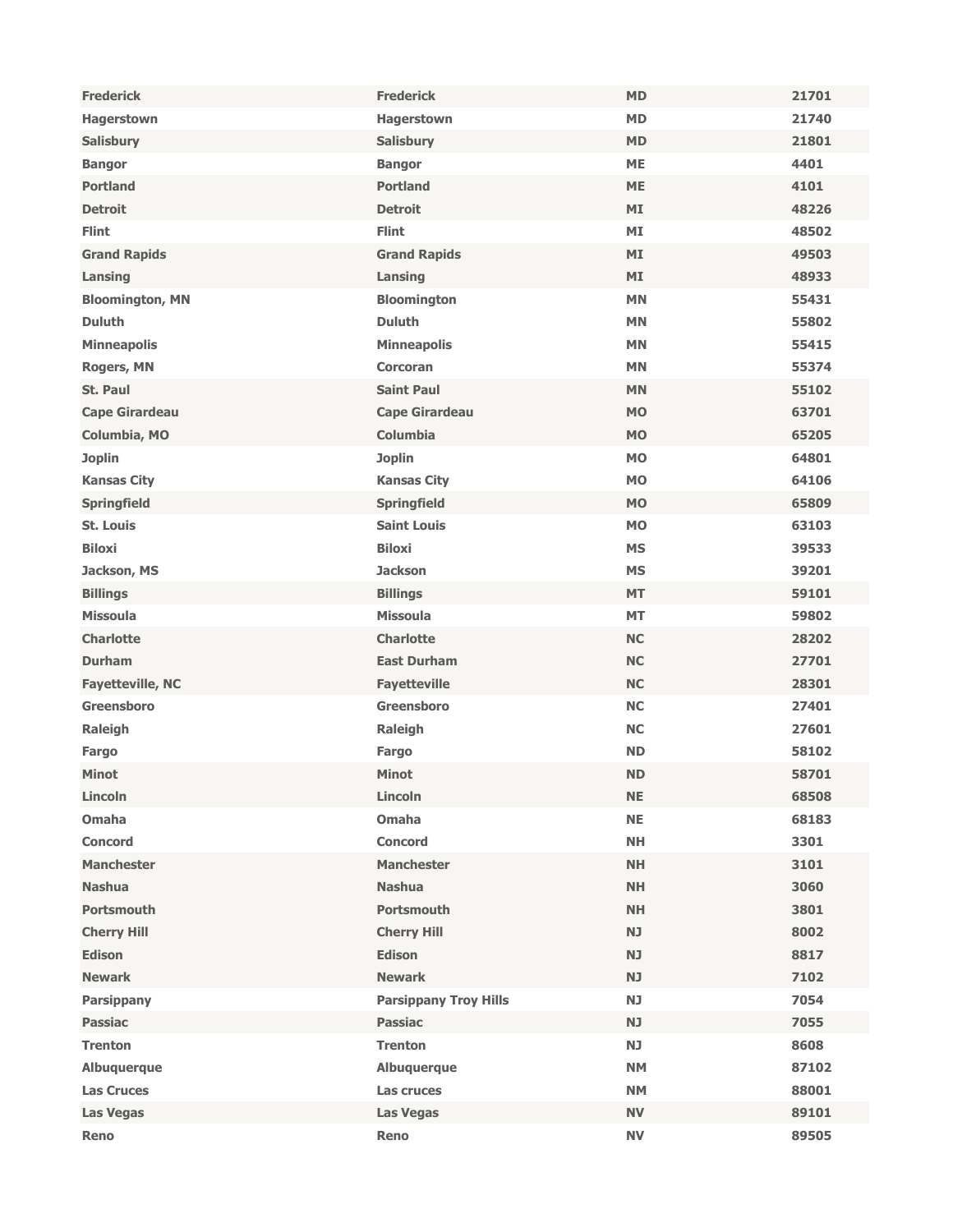| <b>Frederick</b>        | <b>Frederick</b>             | <b>MD</b> | 21701 |
|-------------------------|------------------------------|-----------|-------|
| Hagerstown              | Hagerstown                   | <b>MD</b> | 21740 |
| <b>Salisbury</b>        | <b>Salisbury</b>             | <b>MD</b> | 21801 |
| <b>Bangor</b>           | <b>Bangor</b>                | <b>ME</b> | 4401  |
| <b>Portland</b>         | <b>Portland</b>              | <b>ME</b> | 4101  |
| <b>Detroit</b>          | <b>Detroit</b>               | <b>MI</b> | 48226 |
| <b>Flint</b>            | <b>Flint</b>                 | MI        | 48502 |
| <b>Grand Rapids</b>     | <b>Grand Rapids</b>          | MI        | 49503 |
| Lansing                 | Lansing                      | MI        | 48933 |
| <b>Bloomington, MN</b>  | <b>Bloomington</b>           | <b>MN</b> | 55431 |
| <b>Duluth</b>           | <b>Duluth</b>                | <b>MN</b> | 55802 |
| <b>Minneapolis</b>      | <b>Minneapolis</b>           | <b>MN</b> | 55415 |
| <b>Rogers, MN</b>       | <b>Corcoran</b>              | <b>MN</b> | 55374 |
| St. Paul                | <b>Saint Paul</b>            | <b>MN</b> | 55102 |
| <b>Cape Girardeau</b>   | <b>Cape Girardeau</b>        | <b>MO</b> | 63701 |
| Columbia, MO            | <b>Columbia</b>              | <b>MO</b> | 65205 |
| <b>Joplin</b>           | <b>Joplin</b>                | <b>MO</b> | 64801 |
| <b>Kansas City</b>      | <b>Kansas City</b>           | <b>MO</b> | 64106 |
| <b>Springfield</b>      | <b>Springfield</b>           | <b>MO</b> | 65809 |
| St. Louis               | <b>Saint Louis</b>           | <b>MO</b> | 63103 |
| <b>Biloxi</b>           | <b>Biloxi</b>                | <b>MS</b> | 39533 |
| Jackson, MS             | <b>Jackson</b>               | <b>MS</b> | 39201 |
| <b>Billings</b>         | <b>Billings</b>              | <b>MT</b> | 59101 |
| <b>Missoula</b>         | <b>Missoula</b>              | <b>MT</b> | 59802 |
| <b>Charlotte</b>        | <b>Charlotte</b>             | <b>NC</b> | 28202 |
| <b>Durham</b>           | <b>East Durham</b>           | <b>NC</b> | 27701 |
| <b>Fayetteville, NC</b> | <b>Fayetteville</b>          | <b>NC</b> | 28301 |
| <b>Greensboro</b>       | Greensboro                   | <b>NC</b> | 27401 |
| Raleigh                 | Raleigh                      | <b>NC</b> | 27601 |
| Fargo                   | Fargo                        | <b>ND</b> | 58102 |
| <b>Minot</b>            | <b>Minot</b>                 | <b>ND</b> | 58701 |
| Lincoln                 | Lincoln                      | <b>NE</b> | 68508 |
| <b>Omaha</b>            | <b>Omaha</b>                 | <b>NE</b> | 68183 |
| <b>Concord</b>          | <b>Concord</b>               | <b>NH</b> | 3301  |
| <b>Manchester</b>       | <b>Manchester</b>            | <b>NH</b> | 3101  |
| <b>Nashua</b>           | <b>Nashua</b>                | <b>NH</b> | 3060  |
| <b>Portsmouth</b>       | <b>Portsmouth</b>            | <b>NH</b> | 3801  |
| <b>Cherry Hill</b>      | <b>Cherry Hill</b>           | <b>NJ</b> | 8002  |
| <b>Edison</b>           | <b>Edison</b>                | <b>NJ</b> | 8817  |
| <b>Newark</b>           | <b>Newark</b>                | <b>NJ</b> | 7102  |
| <b>Parsippany</b>       | <b>Parsippany Troy Hills</b> | <b>NJ</b> | 7054  |
| <b>Passiac</b>          | <b>Passiac</b>               | <b>NJ</b> | 7055  |
| <b>Trenton</b>          | <b>Trenton</b>               | <b>NJ</b> | 8608  |
| Albuquerque             | Albuquerque                  | <b>NM</b> | 87102 |
| <b>Las Cruces</b>       | Las cruces                   | <b>NM</b> | 88001 |
| <b>Las Vegas</b>        | <b>Las Vegas</b>             | <b>NV</b> | 89101 |
| Reno                    | Reno                         | <b>NV</b> | 89505 |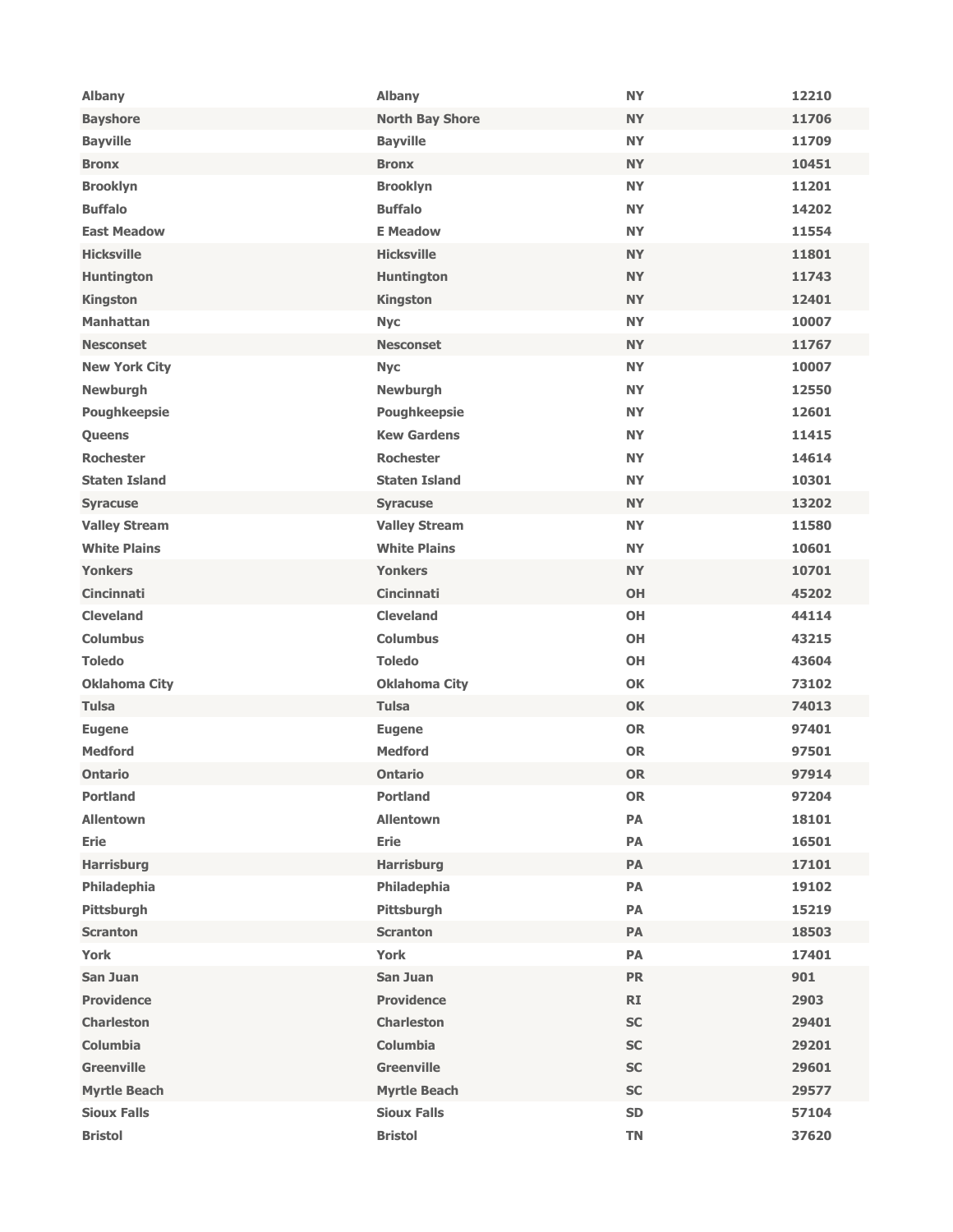| <b>Albany</b>        | <b>Albany</b>          | <b>NY</b> | 12210 |
|----------------------|------------------------|-----------|-------|
| <b>Bayshore</b>      | <b>North Bay Shore</b> | <b>NY</b> | 11706 |
| <b>Bayville</b>      | <b>Bayville</b>        | <b>NY</b> | 11709 |
| <b>Bronx</b>         | <b>Bronx</b>           | <b>NY</b> | 10451 |
| <b>Brooklyn</b>      | <b>Brooklyn</b>        | <b>NY</b> | 11201 |
| <b>Buffalo</b>       | <b>Buffalo</b>         | <b>NY</b> | 14202 |
| <b>East Meadow</b>   | <b>E</b> Meadow        | <b>NY</b> | 11554 |
| <b>Hicksville</b>    | <b>Hicksville</b>      | <b>NY</b> | 11801 |
| <b>Huntington</b>    | <b>Huntington</b>      | <b>NY</b> | 11743 |
| <b>Kingston</b>      | <b>Kingston</b>        | <b>NY</b> | 12401 |
| <b>Manhattan</b>     | <b>Nyc</b>             | <b>NY</b> | 10007 |
| <b>Nesconset</b>     | <b>Nesconset</b>       | <b>NY</b> | 11767 |
| <b>New York City</b> | <b>Nyc</b>             | <b>NY</b> | 10007 |
| <b>Newburgh</b>      | <b>Newburgh</b>        | <b>NY</b> | 12550 |
| <b>Poughkeepsie</b>  | <b>Poughkeepsie</b>    | <b>NY</b> | 12601 |
| Queens               | <b>Kew Gardens</b>     | <b>NY</b> | 11415 |
| <b>Rochester</b>     | <b>Rochester</b>       | <b>NY</b> | 14614 |
| <b>Staten Island</b> | <b>Staten Island</b>   | <b>NY</b> | 10301 |
| <b>Syracuse</b>      | <b>Syracuse</b>        | <b>NY</b> | 13202 |
| <b>Valley Stream</b> | <b>Valley Stream</b>   | <b>NY</b> | 11580 |
| <b>White Plains</b>  | <b>White Plains</b>    | <b>NY</b> | 10601 |
| <b>Yonkers</b>       | <b>Yonkers</b>         | <b>NY</b> | 10701 |
| <b>Cincinnati</b>    | <b>Cincinnati</b>      | <b>OH</b> | 45202 |
| <b>Cleveland</b>     | <b>Cleveland</b>       | <b>OH</b> | 44114 |
| <b>Columbus</b>      | <b>Columbus</b>        | <b>OH</b> | 43215 |
| <b>Toledo</b>        | <b>Toledo</b>          | <b>OH</b> | 43604 |
| <b>Oklahoma City</b> | <b>Oklahoma City</b>   | <b>OK</b> | 73102 |
| <b>Tulsa</b>         | Tulsa                  | <b>OK</b> | 74013 |
| <b>Eugene</b>        | <b>Eugene</b>          | <b>OR</b> | 97401 |
| <b>Medford</b>       | <b>Medford</b>         | <b>OR</b> | 97501 |
| <b>Ontario</b>       | <b>Ontario</b>         | <b>OR</b> | 97914 |
| <b>Portland</b>      | <b>Portland</b>        | <b>OR</b> | 97204 |
| <b>Allentown</b>     | <b>Allentown</b>       | PA        | 18101 |
| <b>Erie</b>          | <b>Erie</b>            | PA        | 16501 |
| <b>Harrisburg</b>    | <b>Harrisburg</b>      | PA        | 17101 |
| Philadephia          | Philadephia            | PA        | 19102 |
| Pittsburgh           | Pittsburgh             | PA        | 15219 |
| <b>Scranton</b>      | <b>Scranton</b>        | PA        | 18503 |
| <b>York</b>          | York                   | PA        | 17401 |
| <b>San Juan</b>      | San Juan               | <b>PR</b> | 901   |
| <b>Providence</b>    | <b>Providence</b>      | <b>RI</b> | 2903  |
| <b>Charleston</b>    | <b>Charleston</b>      | <b>SC</b> | 29401 |
| <b>Columbia</b>      | <b>Columbia</b>        | <b>SC</b> | 29201 |
| <b>Greenville</b>    | <b>Greenville</b>      | <b>SC</b> | 29601 |
| <b>Myrtle Beach</b>  | <b>Myrtle Beach</b>    | SC        | 29577 |
| <b>Sioux Falls</b>   | <b>Sioux Falls</b>     | <b>SD</b> | 57104 |
| <b>Bristol</b>       | <b>Bristol</b>         | <b>TN</b> | 37620 |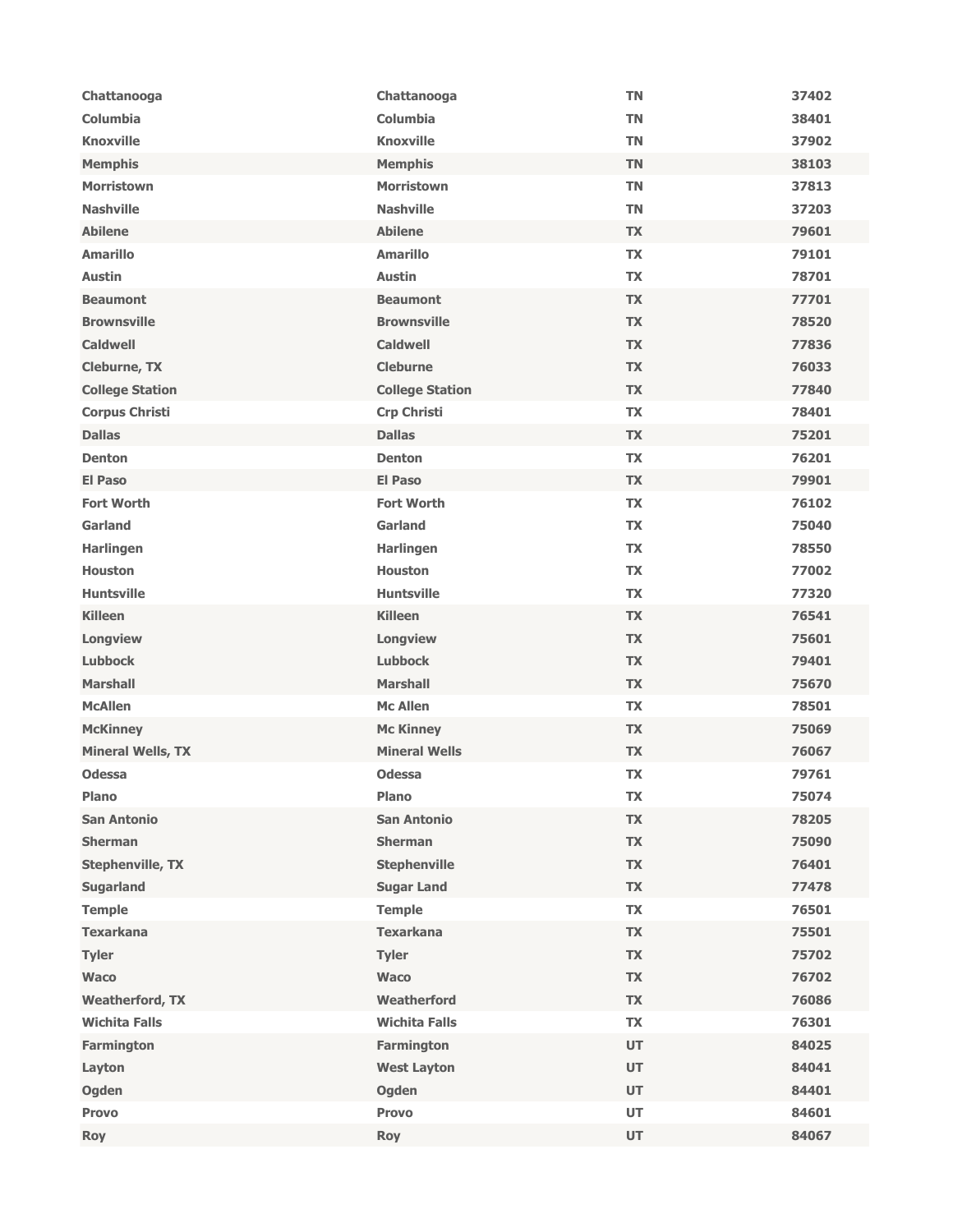| Chattanooga              | Chattanooga            | <b>TN</b> | 37402 |
|--------------------------|------------------------|-----------|-------|
| <b>Columbia</b>          | Columbia               | <b>TN</b> | 38401 |
| <b>Knoxville</b>         | <b>Knoxville</b>       | <b>TN</b> | 37902 |
| <b>Memphis</b>           | <b>Memphis</b>         | <b>TN</b> | 38103 |
| <b>Morristown</b>        | <b>Morristown</b>      | <b>TN</b> | 37813 |
| <b>Nashville</b>         | <b>Nashville</b>       | <b>TN</b> | 37203 |
| <b>Abilene</b>           | <b>Abilene</b>         | <b>TX</b> | 79601 |
| <b>Amarillo</b>          | <b>Amarillo</b>        | <b>TX</b> | 79101 |
| <b>Austin</b>            | <b>Austin</b>          | <b>TX</b> | 78701 |
| <b>Beaumont</b>          | <b>Beaumont</b>        | <b>TX</b> | 77701 |
| <b>Brownsville</b>       | <b>Brownsville</b>     | <b>TX</b> | 78520 |
| <b>Caldwell</b>          | <b>Caldwell</b>        | <b>TX</b> | 77836 |
| Cleburne, TX             | <b>Cleburne</b>        | <b>TX</b> | 76033 |
| <b>College Station</b>   | <b>College Station</b> | <b>TX</b> | 77840 |
| <b>Corpus Christi</b>    | <b>Crp Christi</b>     | <b>TX</b> | 78401 |
| <b>Dallas</b>            | <b>Dallas</b>          | <b>TX</b> | 75201 |
| <b>Denton</b>            | <b>Denton</b>          | TX        | 76201 |
| <b>El Paso</b>           | <b>El Paso</b>         | <b>TX</b> | 79901 |
| <b>Fort Worth</b>        | <b>Fort Worth</b>      | <b>TX</b> | 76102 |
| Garland                  | <b>Garland</b>         | <b>TX</b> | 75040 |
| Harlingen                | <b>Harlingen</b>       | <b>TX</b> | 78550 |
| <b>Houston</b>           | <b>Houston</b>         | <b>TX</b> | 77002 |
| <b>Huntsville</b>        | <b>Huntsville</b>      | TX        | 77320 |
| <b>Killeen</b>           | <b>Killeen</b>         | <b>TX</b> | 76541 |
| Longview                 | Longview               | <b>TX</b> | 75601 |
| <b>Lubbock</b>           | <b>Lubbock</b>         | <b>TX</b> | 79401 |
| <b>Marshall</b>          | <b>Marshall</b>        | <b>TX</b> | 75670 |
| <b>McAllen</b>           | <b>Mc Allen</b>        | <b>TX</b> | 78501 |
| <b>McKinney</b>          | <b>Mc Kinney</b>       | <b>TX</b> | 75069 |
| <b>Mineral Wells, TX</b> | <b>Mineral Wells</b>   | <b>TX</b> | 76067 |
| <b>Odessa</b>            | <b>Odessa</b>          | <b>TX</b> | 79761 |
| <b>Plano</b>             | <b>Plano</b>           | <b>TX</b> | 75074 |
| <b>San Antonio</b>       | <b>San Antonio</b>     | <b>TX</b> | 78205 |
| <b>Sherman</b>           | <b>Sherman</b>         | <b>TX</b> | 75090 |
| <b>Stephenville, TX</b>  | <b>Stephenville</b>    | <b>TX</b> | 76401 |
| <b>Sugarland</b>         | <b>Sugar Land</b>      | <b>TX</b> | 77478 |
| <b>Temple</b>            | <b>Temple</b>          | <b>TX</b> | 76501 |
| <b>Texarkana</b>         | <b>Texarkana</b>       | <b>TX</b> | 75501 |
| <b>Tyler</b>             | <b>Tyler</b>           | <b>TX</b> | 75702 |
| <b>Waco</b>              | <b>Waco</b>            | <b>TX</b> | 76702 |
| <b>Weatherford, TX</b>   | Weatherford            | <b>TX</b> | 76086 |
| <b>Wichita Falls</b>     | <b>Wichita Falls</b>   | <b>TX</b> | 76301 |
| <b>Farmington</b>        | Farmington             | <b>UT</b> | 84025 |
| Layton                   | <b>West Layton</b>     | <b>UT</b> | 84041 |
| Ogden                    | Ogden                  | UT        | 84401 |
| <b>Provo</b>             | <b>Provo</b>           | UT        | 84601 |
| <b>Roy</b>               | <b>Roy</b>             | <b>UT</b> | 84067 |